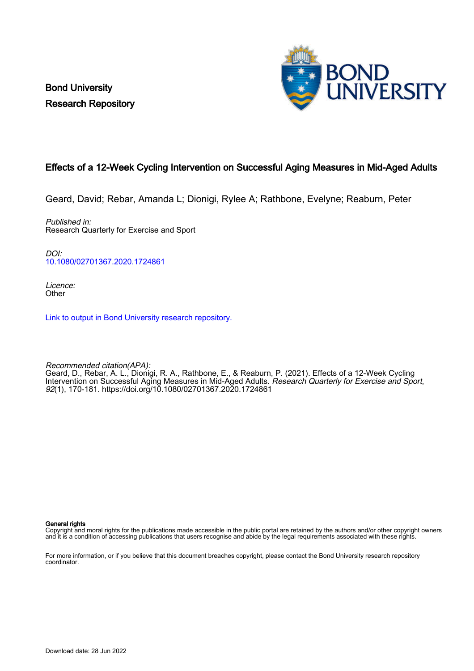Bond University Research Repository



# Effects of a 12-Week Cycling Intervention on Successful Aging Measures in Mid-Aged Adults

Geard, David; Rebar, Amanda L; Dionigi, Rylee A; Rathbone, Evelyne; Reaburn, Peter

Published in: Research Quarterly for Exercise and Sport

DOI: [10.1080/02701367.2020.1724861](https://doi.org/10.1080/02701367.2020.1724861)

Licence: **Other** 

[Link to output in Bond University research repository.](https://research.bond.edu.au/en/publications/4e3e4bff-2df0-4c3e-993a-ee3658cd4e9d)

Recommended citation(APA): Geard, D., Rebar, A. L., Dionigi, R. A., Rathbone, E., & Reaburn, P. (2021). Effects of a 12-Week Cycling Intervention on Successful Aging Measures in Mid-Aged Adults. Research Quarterly for Exercise and Sport, 92(1), 170-181.<https://doi.org/10.1080/02701367.2020.1724861>

General rights

Copyright and moral rights for the publications made accessible in the public portal are retained by the authors and/or other copyright owners and it is a condition of accessing publications that users recognise and abide by the legal requirements associated with these rights.

For more information, or if you believe that this document breaches copyright, please contact the Bond University research repository coordinator.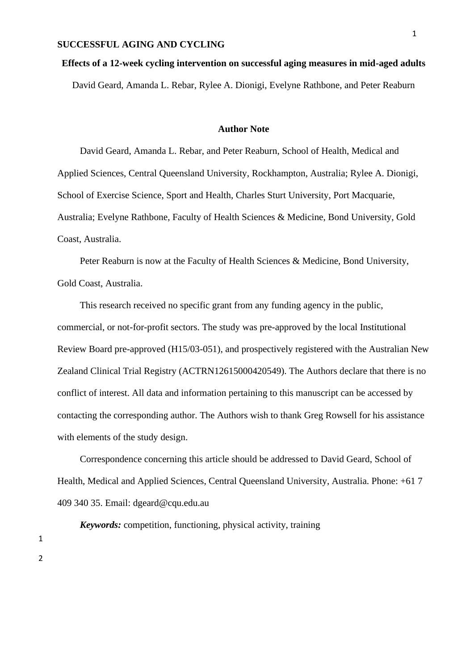#### 1

### **Effects of a 12-week cycling intervention on successful aging measures in mid-aged adults**

David Geard, Amanda L. Rebar, Rylee A. Dionigi, Evelyne Rathbone, and Peter Reaburn

## **Author Note**

David Geard, Amanda L. Rebar, and Peter Reaburn, School of Health, Medical and Applied Sciences, Central Queensland University, Rockhampton, Australia; Rylee A. Dionigi, School of Exercise Science, Sport and Health, Charles Sturt University, Port Macquarie, Australia; Evelyne Rathbone, Faculty of Health Sciences & Medicine, Bond University, Gold Coast, Australia.

Peter Reaburn is now at the Faculty of Health Sciences & Medicine, Bond University, Gold Coast, Australia.

This research received no specific grant from any funding agency in the public, commercial, or not-for-profit sectors. The study was pre-approved by the local Institutional Review Board pre-approved (H15/03-051), and prospectively registered with the Australian New Zealand Clinical Trial Registry (ACTRN12615000420549). The Authors declare that there is no conflict of interest. All data and information pertaining to this manuscript can be accessed by contacting the corresponding author. The Authors wish to thank Greg Rowsell for his assistance with elements of the study design.

Correspondence concerning this article should be addressed to David Geard, School of Health, Medical and Applied Sciences, Central Queensland University, Australia. Phone: +61 7 409 340 35. Email: dgeard@cqu.edu.au

*Keywords:* competition, functioning, physical activity, training

1 2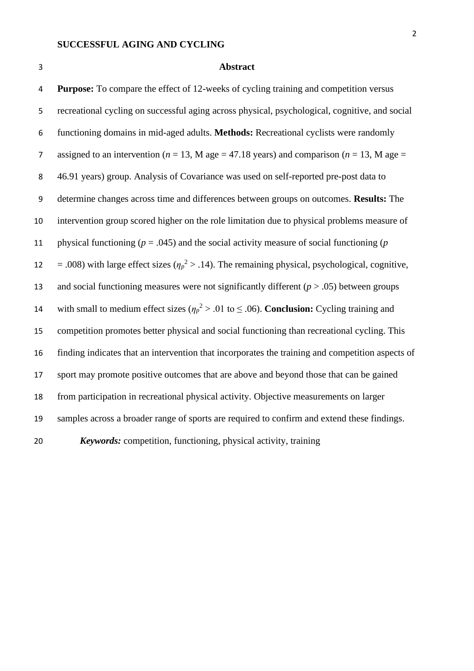# **Abstract**

| 4                | <b>Purpose:</b> To compare the effect of 12-weeks of cycling training and competition versus           |
|------------------|--------------------------------------------------------------------------------------------------------|
| 5                | recreational cycling on successful aging across physical, psychological, cognitive, and social         |
| 6                | functioning domains in mid-aged adults. Methods: Recreational cyclists were randomly                   |
| $\overline{7}$   | assigned to an intervention ( $n = 13$ , M age = 47.18 years) and comparison ( $n = 13$ , M age =      |
| 8                | 46.91 years) group. Analysis of Covariance was used on self-reported pre-post data to                  |
| $\boldsymbol{9}$ | determine changes across time and differences between groups on outcomes. Results: The                 |
| 10               | intervention group scored higher on the role limitation due to physical problems measure of            |
| 11               | physical functioning ( $p = .045$ ) and the social activity measure of social functioning ( $p$ )      |
| 12               | = .008) with large effect sizes ( $\eta_p^2 >$ .14). The remaining physical, psychological, cognitive, |
| 13               | and social functioning measures were not significantly different $(p > .05)$ between groups            |
| 14               | with small to medium effect sizes ( $\eta_p^2 > .01$ to $\leq .06$ ). Conclusion: Cycling training and |
| 15               | competition promotes better physical and social functioning than recreational cycling. This            |
| 16               | finding indicates that an intervention that incorporates the training and competition aspects of       |
| 17               | sport may promote positive outcomes that are above and beyond those that can be gained                 |
| 18               | from participation in recreational physical activity. Objective measurements on larger                 |
| 19               | samples across a broader range of sports are required to confirm and extend these findings.            |
| 20               | <b>Keywords:</b> competition, functioning, physical activity, training                                 |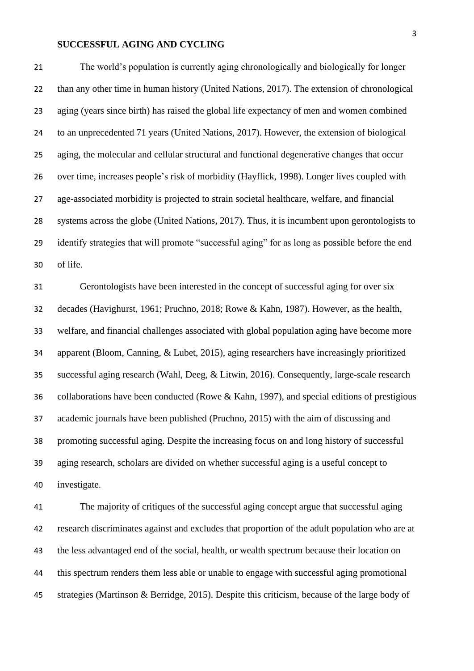The world's population is currently aging chronologically and biologically for longer than any other time in human history (United Nations, 2017). The extension of chronological aging (years since birth) has raised the global life expectancy of men and women combined to an unprecedented 71 years (United Nations, 2017). However, the extension of biological aging, the molecular and cellular structural and functional degenerative changes that occur over time, increases people's risk of morbidity (Hayflick, 1998). Longer lives coupled with age-associated morbidity is projected to strain societal healthcare, welfare, and financial systems across the globe (United Nations, 2017). Thus, it is incumbent upon gerontologists to identify strategies that will promote "successful aging" for as long as possible before the end of life.

 Gerontologists have been interested in the concept of successful aging for over six decades (Havighurst, 1961; Pruchno, 2018; Rowe & Kahn, 1987). However, as the health, welfare, and financial challenges associated with global population aging have become more apparent (Bloom, Canning, & Lubet, 2015), aging researchers have increasingly prioritized successful aging research (Wahl, Deeg, & Litwin, 2016). Consequently, large-scale research collaborations have been conducted (Rowe & Kahn, 1997), and special editions of prestigious academic journals have been published (Pruchno, 2015) with the aim of discussing and promoting successful aging. Despite the increasing focus on and long history of successful aging research, scholars are divided on whether successful aging is a useful concept to investigate.

 The majority of critiques of the successful aging concept argue that successful aging research discriminates against and excludes that proportion of the adult population who are at the less advantaged end of the social, health, or wealth spectrum because their location on this spectrum renders them less able or unable to engage with successful aging promotional strategies (Martinson & Berridge, 2015). Despite this criticism, because of the large body of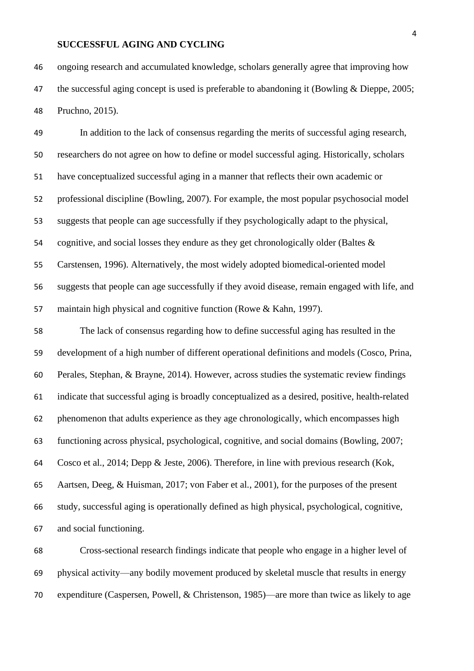ongoing research and accumulated knowledge, scholars generally agree that improving how 47 the successful aging concept is used is preferable to abandoning it (Bowling & Dieppe, 2005; Pruchno, 2015).

 In addition to the lack of consensus regarding the merits of successful aging research, researchers do not agree on how to define or model successful aging. Historically, scholars have conceptualized successful aging in a manner that reflects their own academic or professional discipline (Bowling, 2007). For example, the most popular psychosocial model suggests that people can age successfully if they psychologically adapt to the physical, cognitive, and social losses they endure as they get chronologically older (Baltes & Carstensen, 1996). Alternatively, the most widely adopted biomedical-oriented model suggests that people can age successfully if they avoid disease, remain engaged with life, and maintain high physical and cognitive function (Rowe & Kahn, 1997).

 The lack of consensus regarding how to define successful aging has resulted in the development of a high number of different operational definitions and models (Cosco, Prina, Perales, Stephan, & Brayne, 2014). However, across studies the systematic review findings indicate that successful aging is broadly conceptualized as a desired, positive, health-related phenomenon that adults experience as they age chronologically, which encompasses high functioning across physical, psychological, cognitive, and social domains (Bowling, 2007; Cosco et al., 2014; Depp & Jeste, 2006). Therefore, in line with previous research (Kok, Aartsen, Deeg, & Huisman, 2017; von Faber et al., 2001), for the purposes of the present study, successful aging is operationally defined as high physical, psychological, cognitive, and social functioning.

 Cross-sectional research findings indicate that people who engage in a higher level of physical activity—any bodily movement produced by skeletal muscle that results in energy expenditure (Caspersen, Powell, & Christenson, 1985)—are more than twice as likely to age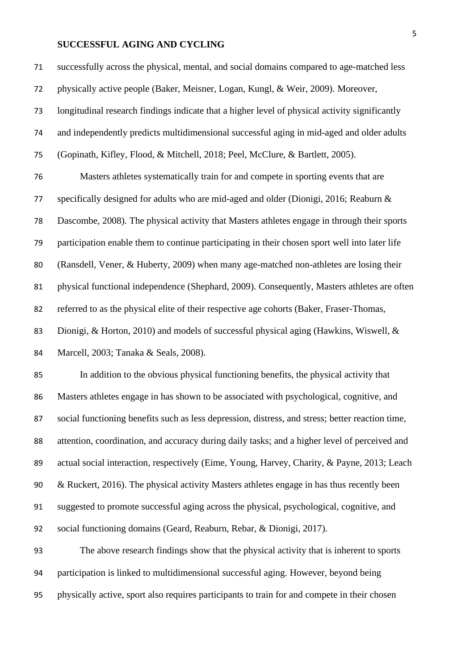successfully across the physical, mental, and social domains compared to age-matched less physically active people (Baker, Meisner, Logan, Kungl, & Weir, 2009). Moreover, longitudinal research findings indicate that a higher level of physical activity significantly and independently predicts multidimensional successful aging in mid-aged and older adults (Gopinath, Kifley, Flood, & Mitchell, 2018; Peel, McClure, & Bartlett, 2005). Masters athletes systematically train for and compete in sporting events that are specifically designed for adults who are mid-aged and older (Dionigi, 2016; Reaburn & Dascombe, 2008). The physical activity that Masters athletes engage in through their sports participation enable them to continue participating in their chosen sport well into later life (Ransdell, Vener, & Huberty, 2009) when many age-matched non-athletes are losing their physical functional independence (Shephard, 2009). Consequently, Masters athletes are often referred to as the physical elite of their respective age cohorts (Baker, Fraser-Thomas, Dionigi, & Horton, 2010) and models of successful physical aging (Hawkins, Wiswell, & Marcell, 2003; Tanaka & Seals, 2008).

 In addition to the obvious physical functioning benefits, the physical activity that Masters athletes engage in has shown to be associated with psychological, cognitive, and social functioning benefits such as less depression, distress, and stress; better reaction time, attention, coordination, and accuracy during daily tasks; and a higher level of perceived and actual social interaction, respectively (Eime, Young, Harvey, Charity, & Payne, 2013; Leach & Ruckert, 2016). The physical activity Masters athletes engage in has thus recently been suggested to promote successful aging across the physical, psychological, cognitive, and social functioning domains (Geard, Reaburn, Rebar, & Dionigi, 2017).

 The above research findings show that the physical activity that is inherent to sports participation is linked to multidimensional successful aging. However, beyond being physically active, sport also requires participants to train for and compete in their chosen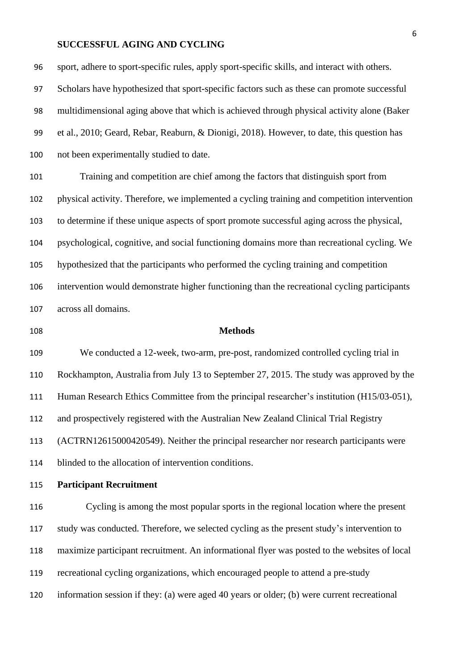sport, adhere to sport-specific rules, apply sport-specific skills, and interact with others. Scholars have hypothesized that sport-specific factors such as these can promote successful multidimensional aging above that which is achieved through physical activity alone (Baker et al., 2010; Geard, Rebar, Reaburn, & Dionigi, 2018). However, to date, this question has not been experimentally studied to date.

 Training and competition are chief among the factors that distinguish sport from physical activity. Therefore, we implemented a cycling training and competition intervention to determine if these unique aspects of sport promote successful aging across the physical, psychological, cognitive, and social functioning domains more than recreational cycling. We hypothesized that the participants who performed the cycling training and competition intervention would demonstrate higher functioning than the recreational cycling participants across all domains.

### **Methods**

 We conducted a 12-week, two-arm, pre-post, randomized controlled cycling trial in Rockhampton, Australia from July 13 to September 27, 2015. The study was approved by the Human Research Ethics Committee from the principal researcher's institution (H15/03-051), and prospectively registered with the Australian New Zealand Clinical Trial Registry (ACTRN12615000420549). Neither the principal researcher nor research participants were blinded to the allocation of intervention conditions.

**Participant Recruitment**

 Cycling is among the most popular sports in the regional location where the present study was conducted. Therefore, we selected cycling as the present study's intervention to maximize participant recruitment. An informational flyer was posted to the websites of local recreational cycling organizations, which encouraged people to attend a pre-study information session if they: (a) were aged 40 years or older; (b) were current recreational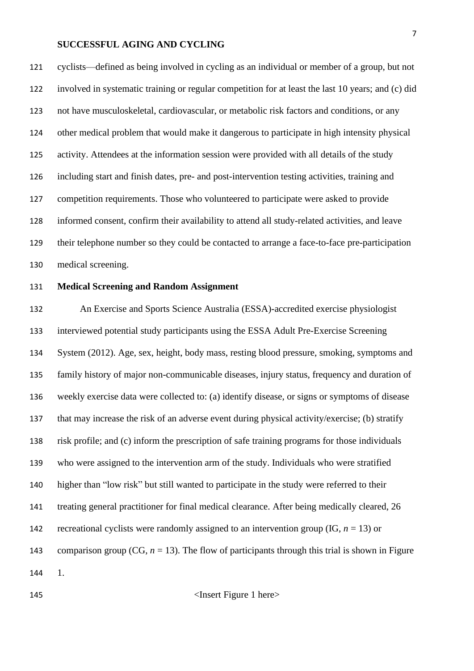cyclists—defined as being involved in cycling as an individual or member of a group, but not involved in systematic training or regular competition for at least the last 10 years; and (c) did not have musculoskeletal, cardiovascular, or metabolic risk factors and conditions, or any other medical problem that would make it dangerous to participate in high intensity physical activity. Attendees at the information session were provided with all details of the study including start and finish dates, pre- and post-intervention testing activities, training and competition requirements. Those who volunteered to participate were asked to provide informed consent, confirm their availability to attend all study-related activities, and leave their telephone number so they could be contacted to arrange a face-to-face pre-participation medical screening.

#### **Medical Screening and Random Assignment**

 An Exercise and Sports Science Australia (ESSA)-accredited exercise physiologist interviewed potential study participants using the ESSA Adult Pre-Exercise Screening System (2012). Age, sex, height, body mass, resting blood pressure, smoking, symptoms and family history of major non-communicable diseases, injury status, frequency and duration of weekly exercise data were collected to: (a) identify disease, or signs or symptoms of disease that may increase the risk of an adverse event during physical activity/exercise; (b) stratify risk profile; and (c) inform the prescription of safe training programs for those individuals who were assigned to the intervention arm of the study. Individuals who were stratified higher than "low risk" but still wanted to participate in the study were referred to their treating general practitioner for final medical clearance. After being medically cleared, 26 142 recreational cyclists were randomly assigned to an intervention group (IG,  $n = 13$ ) or 143 comparison group (CG,  $n = 13$ ). The flow of participants through this trial is shown in Figure 1.

145 <Insert Figure 1 here>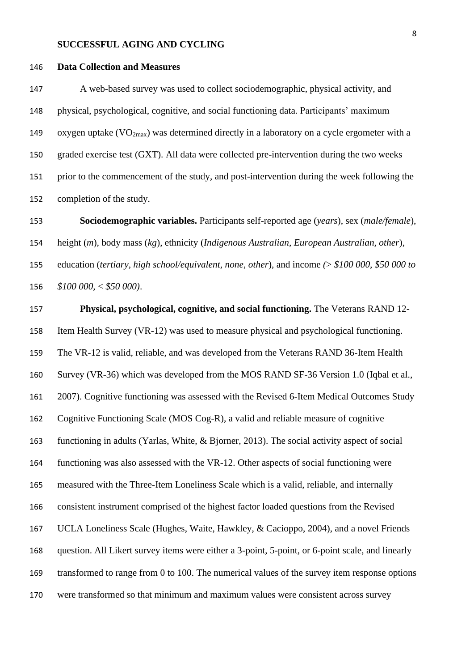# **Data Collection and Measures**

 A web-based survey was used to collect sociodemographic, physical activity, and physical, psychological, cognitive, and social functioning data. Participants' maximum 149 oxygen uptake ( $VO_{2max}$ ) was determined directly in a laboratory on a cycle ergometer with a graded exercise test (GXT). All data were collected pre-intervention during the two weeks prior to the commencement of the study, and post-intervention during the week following the completion of the study.

 **Sociodemographic variables.** Participants self-reported age (*years*), sex (*male/female*), height (*m*), body mass (*kg*), ethnicity (*Indigenous Australian*, *European Australian, other*), education (*tertiary, high school/equivalent*, *none*, *other*), and income *(*> *\$100 000, \$50 000 to \$100 000,* < *\$50 000)*.

 **Physical, psychological, cognitive, and social functioning.** The Veterans RAND 12- Item Health Survey (VR-12) was used to measure physical and psychological functioning. The VR-12 is valid, reliable, and was developed from the Veterans RAND 36-Item Health Survey (VR-36) which was developed from the MOS RAND SF-36 Version 1.0 (Iqbal et al., 2007). Cognitive functioning was assessed with the Revised 6-Item Medical Outcomes Study Cognitive Functioning Scale (MOS Cog-R), a valid and reliable measure of cognitive functioning in adults (Yarlas, White, & Bjorner, 2013). The social activity aspect of social functioning was also assessed with the VR-12. Other aspects of social functioning were measured with the Three-Item Loneliness Scale which is a valid, reliable, and internally consistent instrument comprised of the highest factor loaded questions from the Revised UCLA Loneliness Scale (Hughes, Waite, Hawkley, & Cacioppo, 2004), and a novel Friends question. All Likert survey items were either a 3-point, 5-point, or 6-point scale, and linearly transformed to range from 0 to 100. The numerical values of the survey item response options were transformed so that minimum and maximum values were consistent across survey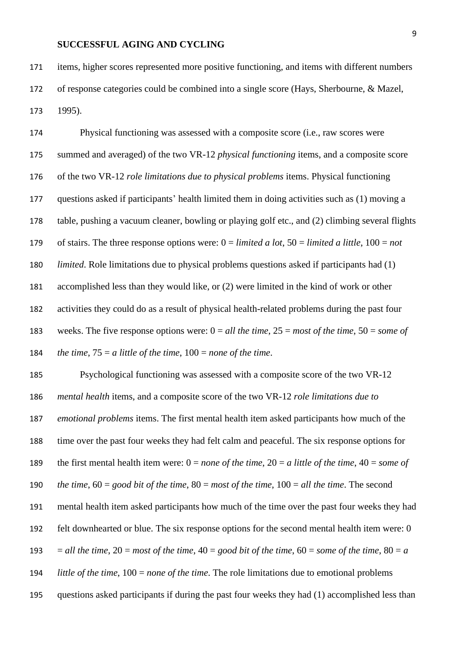items, higher scores represented more positive functioning, and items with different numbers of response categories could be combined into a single score (Hays, Sherbourne, & Mazel, 1995).

 Physical functioning was assessed with a composite score (i.e., raw scores were summed and averaged) of the two VR-12 *physical functioning* items, and a composite score of the two VR-12 *role limitations due to physical problems* items. Physical functioning questions asked if participants' health limited them in doing activities such as (1) moving a table, pushing a vacuum cleaner, bowling or playing golf etc., and (2) climbing several flights of stairs. The three response options were: 0 = *limited a lot*, 50 = *limited a little*, 100 = *not limited*. Role limitations due to physical problems questions asked if participants had (1) accomplished less than they would like, or (2) were limited in the kind of work or other activities they could do as a result of physical health-related problems during the past four weeks. The five response options were: 0 = *all the time*, 25 = *most of the time*, 50 = *some of the time*, 75 = *a little of the time*, 100 = *none of the time*.

 Psychological functioning was assessed with a composite score of the two VR-12 *mental health* items, and a composite score of the two VR-12 *role limitations due to emotional problems* items. The first mental health item asked participants how much of the time over the past four weeks they had felt calm and peaceful. The six response options for the first mental health item were: 0 = *none of the time*, 20 = *a little of the time*, 40 = *some of the time*, 60 = *good bit of the time*, 80 = *most of the time*, 100 = *all the time*. The second mental health item asked participants how much of the time over the past four weeks they had felt downhearted or blue. The six response options for the second mental health item were: 0 193 = *all the time*,  $20 = \text{most of the time}$ ,  $40 = \text{good bit of the time}$ ,  $60 = \text{some of the time}$ ,  $80 = a$  *little of the time*, 100 = *none of the time*. The role limitations due to emotional problems questions asked participants if during the past four weeks they had (1) accomplished less than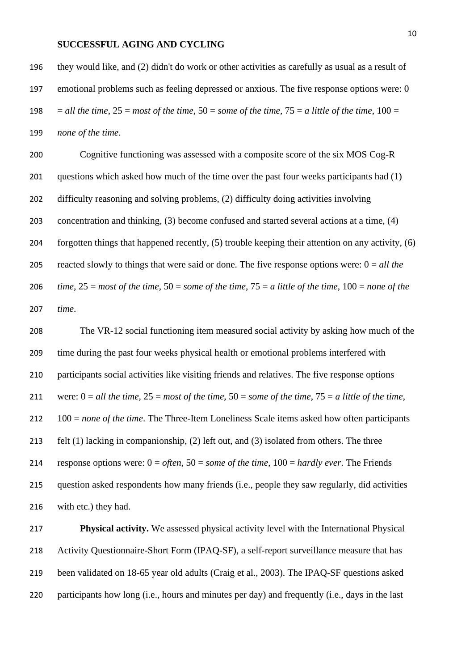they would like, and (2) didn't do work or other activities as carefully as usual as a result of emotional problems such as feeling depressed or anxious. The five response options were: 0 198 = *all the time, 25* = *most of the time, 50* = *some of the time, 75* = *a little of the time, 100* = *none of the time*.

 Cognitive functioning was assessed with a composite score of the six MOS Cog-R questions which asked how much of the time over the past four weeks participants had (1) difficulty reasoning and solving problems, (2) difficulty doing activities involving concentration and thinking, (3) become confused and started several actions at a time, (4) forgotten things that happened recently, (5) trouble keeping their attention on any activity, (6) reacted slowly to things that were said or done. The five response options were: 0 = *all the time*, 25 = *most of the time*, 50 = *some of the time*, 75 = *a little of the time*, 100 = *none of the time*.

 The VR-12 social functioning item measured social activity by asking how much of the time during the past four weeks physical health or emotional problems interfered with participants social activities like visiting friends and relatives. The five response options were: 0 = *all the time*, 25 = *most of the time*, 50 = *some of the time*, 75 = *a little of the time*, 100 = *none of the time*. The Three-Item Loneliness Scale items asked how often participants felt (1) lacking in companionship, (2) left out, and (3) isolated from others. The three response options were: 0 = *often*, 50 = *some of the time*, 100 = *hardly ever*. The Friends question asked respondents how many friends (i.e., people they saw regularly, did activities with etc.) they had.

 **Physical activity.** We assessed physical activity level with the International Physical Activity Questionnaire-Short Form (IPAQ-SF), a self-report surveillance measure that has been validated on 18-65 year old adults (Craig et al., 2003). The IPAQ-SF questions asked participants how long (i.e., hours and minutes per day) and frequently (i.e., days in the last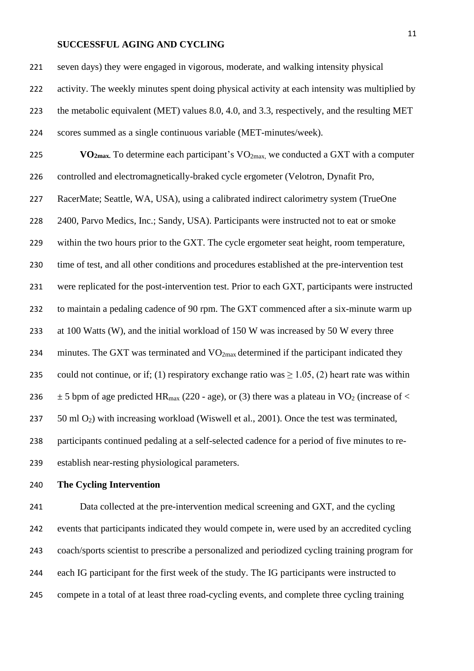seven days) they were engaged in vigorous, moderate, and walking intensity physical 222 activity. The weekly minutes spent doing physical activity at each intensity was multiplied by the metabolic equivalent (MET) values 8.0, 4.0, and 3.3, respectively, and the resulting MET scores summed as a single continuous variable (MET-minutes/week). **VO**<sub>2max</sub>. To determine each participant's VO<sub>2max</sub>, we conducted a GXT with a computer controlled and electromagnetically-braked cycle ergometer (Velotron, Dynafit Pro, RacerMate; Seattle, WA, USA), using a calibrated indirect calorimetry system (TrueOne 2400, Parvo Medics, Inc.; Sandy, USA). Participants were instructed not to eat or smoke 229 within the two hours prior to the GXT. The cycle ergometer seat height, room temperature, time of test, and all other conditions and procedures established at the pre-intervention test were replicated for the post-intervention test. Prior to each GXT, participants were instructed to maintain a pedaling cadence of 90 rpm. The GXT commenced after a six-minute warm up at 100 Watts (W), and the initial workload of 150 W was increased by 50 W every three 234 minutes. The GXT was terminated and  $VO<sub>2max</sub>$  determined if the participant indicated they 235 could not continue, or if; (1) respiratory exchange ratio was  $\geq 1.05$ , (2) heart rate was within  $\pm$  5 bpm of age predicted HR<sub>max</sub> (220 - age), or (3) there was a plateau in VO<sub>2</sub> (increase of < 50 ml O2) with increasing workload (Wiswell et al., 2001). Once the test was terminated, participants continued pedaling at a self-selected cadence for a period of five minutes to re-establish near-resting physiological parameters.

**The Cycling Intervention**

 Data collected at the pre-intervention medical screening and GXT, and the cycling events that participants indicated they would compete in, were used by an accredited cycling coach/sports scientist to prescribe a personalized and periodized cycling training program for each IG participant for the first week of the study. The IG participants were instructed to compete in a total of at least three road-cycling events, and complete three cycling training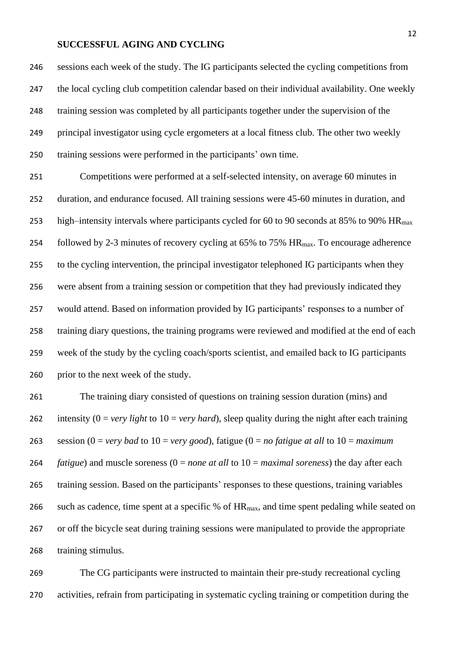sessions each week of the study. The IG participants selected the cycling competitions from the local cycling club competition calendar based on their individual availability. One weekly training session was completed by all participants together under the supervision of the principal investigator using cycle ergometers at a local fitness club. The other two weekly training sessions were performed in the participants' own time.

 Competitions were performed at a self-selected intensity, on average 60 minutes in duration, and endurance focused. All training sessions were 45-60 minutes in duration, and 253 high–intensity intervals where participants cycled for 60 to 90 seconds at 85% to 90%  $HR_{max}$ 254 followed by 2-3 minutes of recovery cycling at 65% to 75% HR<sub>max</sub>. To encourage adherence to the cycling intervention, the principal investigator telephoned IG participants when they were absent from a training session or competition that they had previously indicated they would attend. Based on information provided by IG participants' responses to a number of training diary questions, the training programs were reviewed and modified at the end of each week of the study by the cycling coach/sports scientist, and emailed back to IG participants prior to the next week of the study.

 The training diary consisted of questions on training session duration (mins) and 262 intensity  $(0 = \text{very light to } 10 = \text{very hard})$ , sleep quality during the night after each training session (0 = *very bad* to 10 = *very good*), fatigue (0 = *no fatigue at all* to 10 = *maximum fatigue*) and muscle soreness (0 = *none at all* to 10 = *maximal soreness*) the day after each training session. Based on the participants' responses to these questions, training variables 266 such as cadence, time spent at a specific % of HR<sub>max</sub>, and time spent pedaling while seated on or off the bicycle seat during training sessions were manipulated to provide the appropriate training stimulus.

 The CG participants were instructed to maintain their pre-study recreational cycling activities, refrain from participating in systematic cycling training or competition during the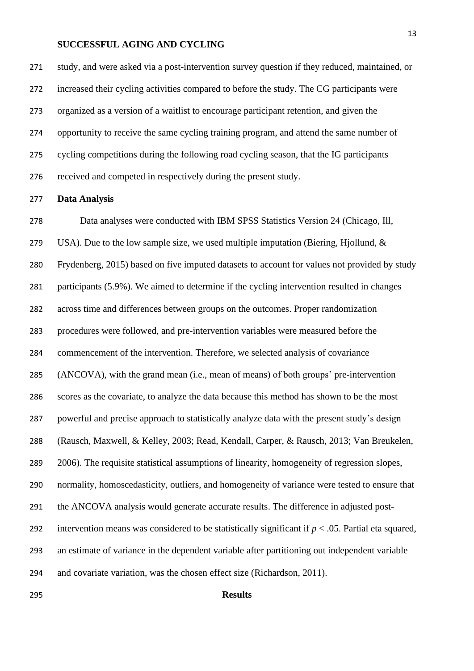study, and were asked via a post-intervention survey question if they reduced, maintained, or increased their cycling activities compared to before the study. The CG participants were organized as a version of a waitlist to encourage participant retention, and given the opportunity to receive the same cycling training program, and attend the same number of cycling competitions during the following road cycling season, that the IG participants received and competed in respectively during the present study.

# **Data Analysis**

 Data analyses were conducted with IBM SPSS Statistics Version 24 (Chicago, Ill, 279 USA). Due to the low sample size, we used multiple imputation (Biering, Hjollund,  $\&$  Frydenberg, 2015) based on five imputed datasets to account for values not provided by study participants (5.9%). We aimed to determine if the cycling intervention resulted in changes across time and differences between groups on the outcomes. Proper randomization procedures were followed, and pre-intervention variables were measured before the commencement of the intervention. Therefore, we selected analysis of covariance (ANCOVA), with the grand mean (i.e., mean of means) of both groups' pre-intervention scores as the covariate, to analyze the data because this method has shown to be the most powerful and precise approach to statistically analyze data with the present study's design (Rausch, Maxwell, & Kelley, 2003; Read, Kendall, Carper, & Rausch, 2013; Van Breukelen, 2006). The requisite statistical assumptions of linearity, homogeneity of regression slopes, normality, homoscedasticity, outliers, and homogeneity of variance were tested to ensure that the ANCOVA analysis would generate accurate results. The difference in adjusted post-292 intervention means was considered to be statistically significant if  $p < .05$ . Partial eta squared, an estimate of variance in the dependent variable after partitioning out independent variable and covariate variation, was the chosen effect size (Richardson, 2011).

## **Results**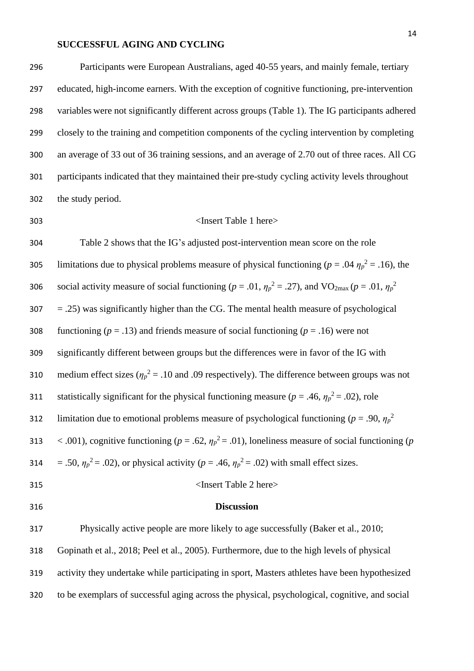Participants were European Australians, aged 40-55 years, and mainly female, tertiary educated, high-income earners. With the exception of cognitive functioning, pre-intervention variables were not significantly different across groups (Table 1). The IG participants adhered closely to the training and competition components of the cycling intervention by completing an average of 33 out of 36 training sessions, and an average of 2.70 out of three races. All CG participants indicated that they maintained their pre-study cycling activity levels throughout the study period.

# <Insert Table 1 here>

 Table 2 shows that the IG's adjusted post-intervention mean score on the role 305 limitations due to physical problems measure of physical functioning ( $p = .04 \eta_p^2 = .16$ ), the social activity measure of social functioning ( $p = .01$ ,  $\eta_p^2 = .27$ ), and VO<sub>2max</sub> ( $p = .01$ ,  $\eta_p^2$   $307 = .25$ ) was significantly higher than the CG. The mental health measure of psychological 308 functioning  $(p = .13)$  and friends measure of social functioning  $(p = .16)$  were not significantly different between groups but the differences were in favor of the IG with 310 medium effect sizes ( $\eta_p^2$  = .10 and .09 respectively). The difference between groups was not statistically significant for the physical functioning measure ( $p = .46$ ,  $\eta_p^2 = .02$ ), role 312 limitation due to emotional problems measure of psychological functioning ( $p = .90$ ,  $\eta_p^2$ ) 313  $\lt$  .001), cognitive functioning ( $p = .62$ ,  $\eta_p^2 = .01$ ), loneliness measure of social functioning ( $p$ 314 = .50,  $\eta_p^2$  = .02), or physical activity ( $p = .46$ ,  $\eta_p^2$  = .02) with small effect sizes. <Insert Table 2 here> **Discussion** Physically active people are more likely to age successfully (Baker et al., 2010; Gopinath et al., 2018; Peel et al., 2005). Furthermore, due to the high levels of physical

activity they undertake while participating in sport, Masters athletes have been hypothesized

to be exemplars of successful aging across the physical, psychological, cognitive, and social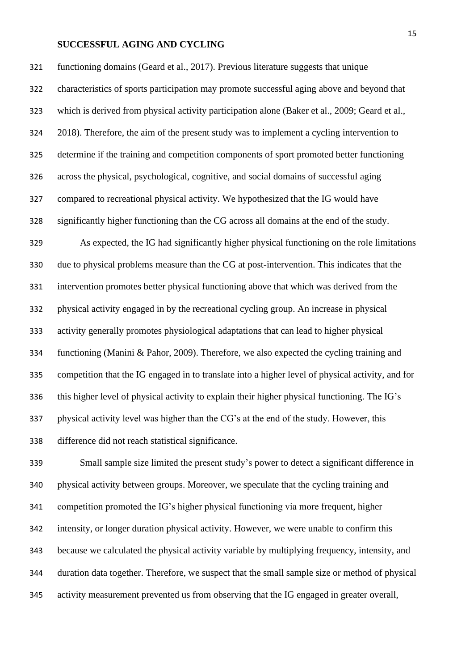functioning domains (Geard et al., 2017). Previous literature suggests that unique characteristics of sports participation may promote successful aging above and beyond that which is derived from physical activity participation alone (Baker et al., 2009; Geard et al., 2018). Therefore, the aim of the present study was to implement a cycling intervention to determine if the training and competition components of sport promoted better functioning across the physical, psychological, cognitive, and social domains of successful aging compared to recreational physical activity. We hypothesized that the IG would have significantly higher functioning than the CG across all domains at the end of the study. As expected, the IG had significantly higher physical functioning on the role limitations due to physical problems measure than the CG at post-intervention. This indicates that the intervention promotes better physical functioning above that which was derived from the physical activity engaged in by the recreational cycling group. An increase in physical activity generally promotes physiological adaptations that can lead to higher physical functioning (Manini & Pahor, 2009). Therefore, we also expected the cycling training and competition that the IG engaged in to translate into a higher level of physical activity, and for this higher level of physical activity to explain their higher physical functioning. The IG's physical activity level was higher than the CG's at the end of the study. However, this difference did not reach statistical significance.

 Small sample size limited the present study's power to detect a significant difference in physical activity between groups. Moreover, we speculate that the cycling training and competition promoted the IG's higher physical functioning via more frequent, higher intensity, or longer duration physical activity. However, we were unable to confirm this because we calculated the physical activity variable by multiplying frequency, intensity, and duration data together. Therefore, we suspect that the small sample size or method of physical activity measurement prevented us from observing that the IG engaged in greater overall,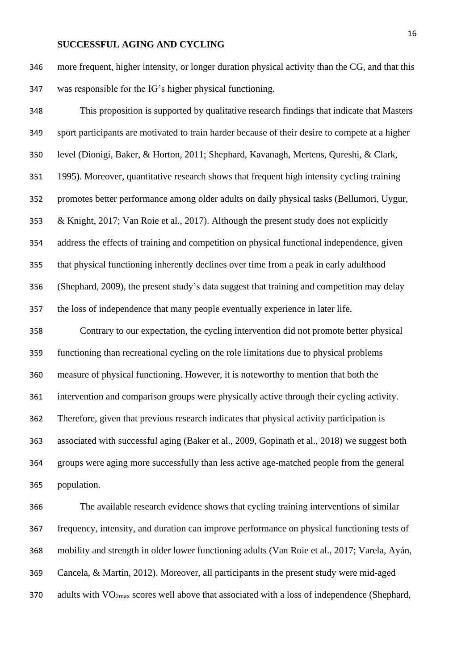more frequent, higher intensity, or longer duration physical activity than the CG, and that this was responsible for the IG's higher physical functioning.

 This proposition is supported by qualitative research findings that indicate that Masters sport participants are motivated to train harder because of their desire to compete at a higher level (Dionigi, Baker, & Horton, 2011; Shephard, Kavanagh, Mertens, Qureshi, & Clark, 1995). Moreover, quantitative research shows that frequent high intensity cycling training promotes better performance among older adults on daily physical tasks (Bellumori, Uygur, & Knight, 2017; Van Roie et al., 2017). Although the present study does not explicitly address the effects of training and competition on physical functional independence, given that physical functioning inherently declines over time from a peak in early adulthood (Shephard, 2009), the present study's data suggest that training and competition may delay the loss of independence that many people eventually experience in later life.

 Contrary to our expectation, the cycling intervention did not promote better physical functioning than recreational cycling on the role limitations due to physical problems measure of physical functioning. However, it is noteworthy to mention that both the intervention and comparison groups were physically active through their cycling activity. Therefore, given that previous research indicates that physical activity participation is associated with successful aging (Baker et al., 2009, Gopinath et al., 2018) we suggest both groups were aging more successfully than less active age-matched people from the general population.

 The available research evidence shows that cycling training interventions of similar frequency, intensity, and duration can improve performance on physical functioning tests of mobility and strength in older lower functioning adults (Van Roie et al., 2017; Varela, Ayán, Cancela, & Martín, 2012). Moreover, all participants in the present study were mid-aged 370 adults with  $VO_{2max}$  scores well above that associated with a loss of independence (Shephard,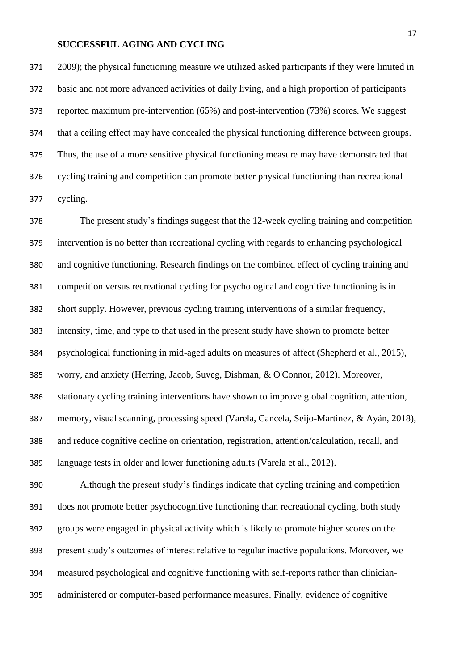2009); the physical functioning measure we utilized asked participants if they were limited in basic and not more advanced activities of daily living, and a high proportion of participants reported maximum pre-intervention (65%) and post-intervention (73%) scores. We suggest that a ceiling effect may have concealed the physical functioning difference between groups. Thus, the use of a more sensitive physical functioning measure may have demonstrated that cycling training and competition can promote better physical functioning than recreational cycling.

 The present study's findings suggest that the 12-week cycling training and competition intervention is no better than recreational cycling with regards to enhancing psychological and cognitive functioning. Research findings on the combined effect of cycling training and competition versus recreational cycling for psychological and cognitive functioning is in short supply. However, previous cycling training interventions of a similar frequency, intensity, time, and type to that used in the present study have shown to promote better psychological functioning in mid-aged adults on measures of affect (Shepherd et al., 2015), worry, and anxiety (Herring, Jacob, Suveg, Dishman, & O'Connor, 2012). Moreover, stationary cycling training interventions have shown to improve global cognition, attention, memory, visual scanning, processing speed (Varela, Cancela, Seijo-Martinez, & Ayán, 2018), and reduce cognitive decline on orientation, registration, attention/calculation, recall, and language tests in older and lower functioning adults (Varela et al., 2012).

 Although the present study's findings indicate that cycling training and competition does not promote better psychocognitive functioning than recreational cycling, both study groups were engaged in physical activity which is likely to promote higher scores on the present study's outcomes of interest relative to regular inactive populations. Moreover, we measured psychological and cognitive functioning with self-reports rather than clinician-administered or computer-based performance measures. Finally, evidence of cognitive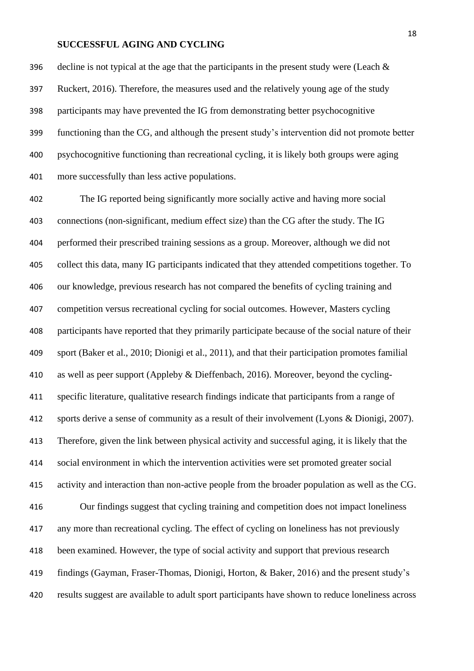396 decline is not typical at the age that the participants in the present study were (Leach  $\&$  Ruckert, 2016). Therefore, the measures used and the relatively young age of the study participants may have prevented the IG from demonstrating better psychocognitive functioning than the CG, and although the present study's intervention did not promote better psychocognitive functioning than recreational cycling, it is likely both groups were aging more successfully than less active populations.

 The IG reported being significantly more socially active and having more social connections (non-significant, medium effect size) than the CG after the study. The IG performed their prescribed training sessions as a group. Moreover, although we did not collect this data, many IG participants indicated that they attended competitions together. To our knowledge, previous research has not compared the benefits of cycling training and competition versus recreational cycling for social outcomes. However, Masters cycling participants have reported that they primarily participate because of the social nature of their sport (Baker et al., 2010; Dionigi et al., 2011), and that their participation promotes familial as well as peer support (Appleby & Dieffenbach, 2016). Moreover, beyond the cycling- specific literature, qualitative research findings indicate that participants from a range of sports derive a sense of community as a result of their involvement (Lyons & Dionigi, 2007). Therefore, given the link between physical activity and successful aging, it is likely that the social environment in which the intervention activities were set promoted greater social activity and interaction than non-active people from the broader population as well as the CG. Our findings suggest that cycling training and competition does not impact loneliness any more than recreational cycling. The effect of cycling on loneliness has not previously been examined. However, the type of social activity and support that previous research findings (Gayman, Fraser-Thomas, Dionigi, Horton, & Baker, 2016) and the present study's results suggest are available to adult sport participants have shown to reduce loneliness across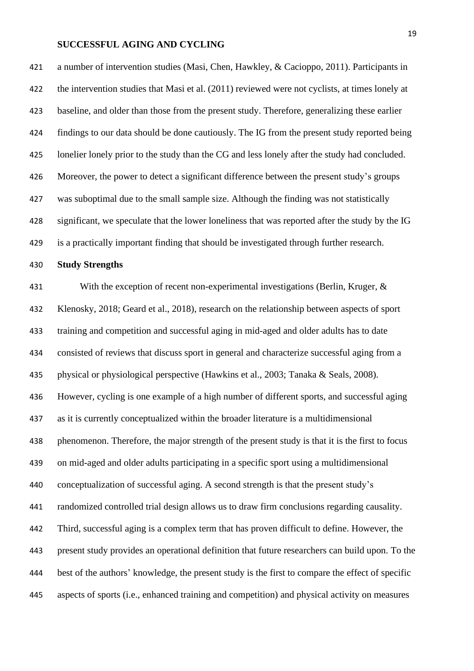a number of intervention studies (Masi, Chen, Hawkley, & Cacioppo, 2011). Participants in the intervention studies that Masi et al. (2011) reviewed were not cyclists, at times lonely at baseline, and older than those from the present study. Therefore, generalizing these earlier findings to our data should be done cautiously. The IG from the present study reported being lonelier lonely prior to the study than the CG and less lonely after the study had concluded. Moreover, the power to detect a significant difference between the present study's groups was suboptimal due to the small sample size. Although the finding was not statistically significant, we speculate that the lower loneliness that was reported after the study by the IG is a practically important finding that should be investigated through further research.

### **Study Strengths**

 With the exception of recent non-experimental investigations (Berlin, Kruger, & Klenosky, 2018; Geard et al., 2018), research on the relationship between aspects of sport training and competition and successful aging in mid-aged and older adults has to date consisted of reviews that discuss sport in general and characterize successful aging from a physical or physiological perspective (Hawkins et al., 2003; Tanaka & Seals, 2008). However, cycling is one example of a high number of different sports, and successful aging as it is currently conceptualized within the broader literature is a multidimensional phenomenon. Therefore, the major strength of the present study is that it is the first to focus on mid-aged and older adults participating in a specific sport using a multidimensional conceptualization of successful aging. A second strength is that the present study's randomized controlled trial design allows us to draw firm conclusions regarding causality. Third, successful aging is a complex term that has proven difficult to define. However, the present study provides an operational definition that future researchers can build upon. To the best of the authors' knowledge, the present study is the first to compare the effect of specific aspects of sports (i.e., enhanced training and competition) and physical activity on measures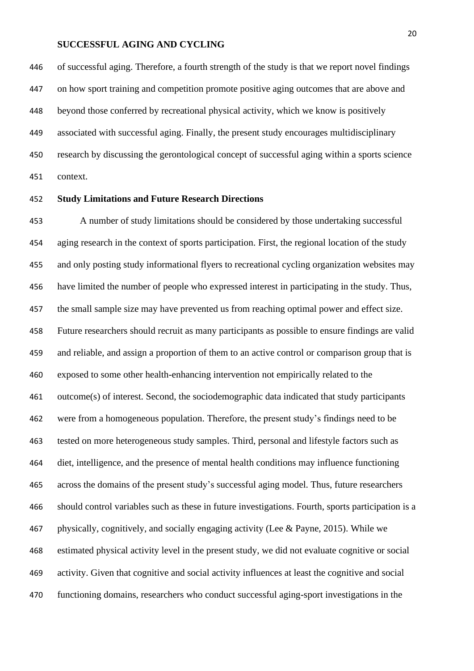of successful aging. Therefore, a fourth strength of the study is that we report novel findings on how sport training and competition promote positive aging outcomes that are above and beyond those conferred by recreational physical activity, which we know is positively associated with successful aging. Finally, the present study encourages multidisciplinary research by discussing the gerontological concept of successful aging within a sports science context.

## **Study Limitations and Future Research Directions**

 A number of study limitations should be considered by those undertaking successful aging research in the context of sports participation. First, the regional location of the study and only posting study informational flyers to recreational cycling organization websites may have limited the number of people who expressed interest in participating in the study. Thus, 457 the small sample size may have prevented us from reaching optimal power and effect size. Future researchers should recruit as many participants as possible to ensure findings are valid and reliable, and assign a proportion of them to an active control or comparison group that is exposed to some other health-enhancing intervention not empirically related to the outcome(s) of interest. Second, the sociodemographic data indicated that study participants were from a homogeneous population. Therefore, the present study's findings need to be tested on more heterogeneous study samples. Third, personal and lifestyle factors such as diet, intelligence, and the presence of mental health conditions may influence functioning across the domains of the present study's successful aging model. Thus, future researchers should control variables such as these in future investigations. Fourth, sports participation is a physically, cognitively, and socially engaging activity (Lee & Payne, 2015). While we estimated physical activity level in the present study, we did not evaluate cognitive or social activity. Given that cognitive and social activity influences at least the cognitive and social functioning domains, researchers who conduct successful aging-sport investigations in the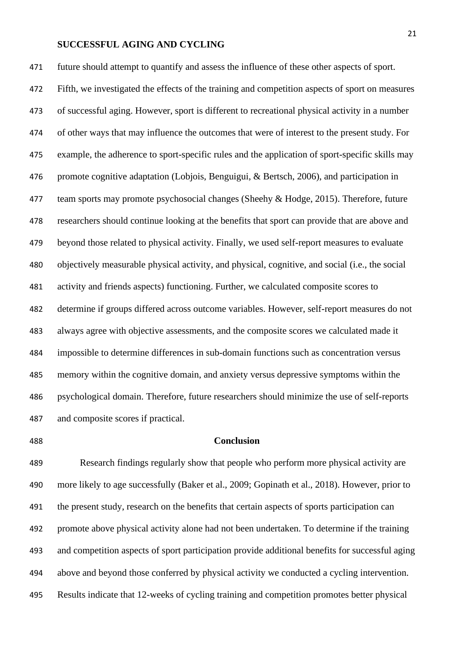future should attempt to quantify and assess the influence of these other aspects of sport. Fifth, we investigated the effects of the training and competition aspects of sport on measures of successful aging. However, sport is different to recreational physical activity in a number of other ways that may influence the outcomes that were of interest to the present study. For example, the adherence to sport-specific rules and the application of sport-specific skills may promote cognitive adaptation (Lobjois, Benguigui, & Bertsch, 2006), and participation in team sports may promote psychosocial changes (Sheehy & Hodge, 2015). Therefore, future researchers should continue looking at the benefits that sport can provide that are above and beyond those related to physical activity. Finally, we used self-report measures to evaluate objectively measurable physical activity, and physical, cognitive, and social (i.e., the social activity and friends aspects) functioning. Further, we calculated composite scores to determine if groups differed across outcome variables. However, self-report measures do not always agree with objective assessments, and the composite scores we calculated made it impossible to determine differences in sub-domain functions such as concentration versus memory within the cognitive domain, and anxiety versus depressive symptoms within the psychological domain. Therefore, future researchers should minimize the use of self-reports and composite scores if practical.

### **Conclusion**

 Research findings regularly show that people who perform more physical activity are more likely to age successfully (Baker et al., 2009; Gopinath et al., 2018). However, prior to the present study, research on the benefits that certain aspects of sports participation can promote above physical activity alone had not been undertaken. To determine if the training and competition aspects of sport participation provide additional benefits for successful aging above and beyond those conferred by physical activity we conducted a cycling intervention. Results indicate that 12-weeks of cycling training and competition promotes better physical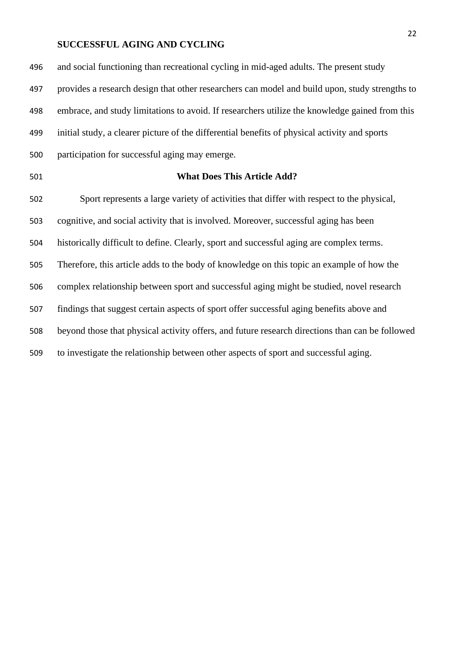and social functioning than recreational cycling in mid-aged adults. The present study provides a research design that other researchers can model and build upon, study strengths to embrace, and study limitations to avoid. If researchers utilize the knowledge gained from this initial study, a clearer picture of the differential benefits of physical activity and sports participation for successful aging may emerge. **What Does This Article Add?** Sport represents a large variety of activities that differ with respect to the physical, cognitive, and social activity that is involved. Moreover, successful aging has been historically difficult to define. Clearly, sport and successful aging are complex terms. Therefore, this article adds to the body of knowledge on this topic an example of how the complex relationship between sport and successful aging might be studied, novel research findings that suggest certain aspects of sport offer successful aging benefits above and beyond those that physical activity offers, and future research directions than can be followed to investigate the relationship between other aspects of sport and successful aging.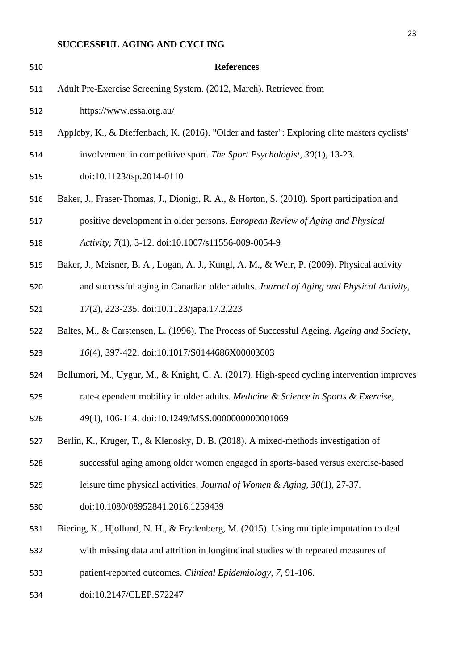| 510 | <b>References</b>                                                                            |
|-----|----------------------------------------------------------------------------------------------|
| 511 | Adult Pre-Exercise Screening System. (2012, March). Retrieved from                           |
| 512 | https://www.essa.org.au/                                                                     |
| 513 | Appleby, K., & Dieffenbach, K. (2016). "Older and faster": Exploring elite masters cyclists' |
| 514 | involvement in competitive sport. The Sport Psychologist, $30(1)$ , 13-23.                   |
| 515 | doi:10.1123/tsp.2014-0110                                                                    |
| 516 | Baker, J., Fraser-Thomas, J., Dionigi, R. A., & Horton, S. (2010). Sport participation and   |
| 517 | positive development in older persons. European Review of Aging and Physical                 |
| 518 | Activity, 7(1), 3-12. doi:10.1007/s11556-009-0054-9                                          |
| 519 | Baker, J., Meisner, B. A., Logan, A. J., Kungl, A. M., & Weir, P. (2009). Physical activity  |
| 520 | and successful aging in Canadian older adults. Journal of Aging and Physical Activity,       |
| 521 | 17(2), 223-235. doi:10.1123/japa.17.2.223                                                    |
| 522 | Baltes, M., & Carstensen, L. (1996). The Process of Successful Ageing. Ageing and Society,   |
| 523 | 16(4), 397-422. doi:10.1017/S0144686X00003603                                                |
| 524 | Bellumori, M., Uygur, M., & Knight, C. A. (2017). High-speed cycling intervention improves   |
| 525 | rate-dependent mobility in older adults. Medicine & Science in Sports & Exercise,            |
| 526 | 49(1), 106-114. doi:10.1249/MSS.0000000000001069                                             |
| 527 | Berlin, K., Kruger, T., & Klenosky, D. B. (2018). A mixed-methods investigation of           |
| 528 | successful aging among older women engaged in sports-based versus exercise-based             |
| 529 | leisure time physical activities. Journal of Women & Aging, $30(1)$ , 27-37.                 |
| 530 | doi:10.1080/08952841.2016.1259439                                                            |
| 531 | Biering, K., Hjollund, N. H., & Frydenberg, M. (2015). Using multiple imputation to deal     |
| 532 | with missing data and attrition in longitudinal studies with repeated measures of            |
| 533 | patient-reported outcomes. Clinical Epidemiology, 7, 91-106.                                 |
| 534 | doi:10.2147/CLEP.S72247                                                                      |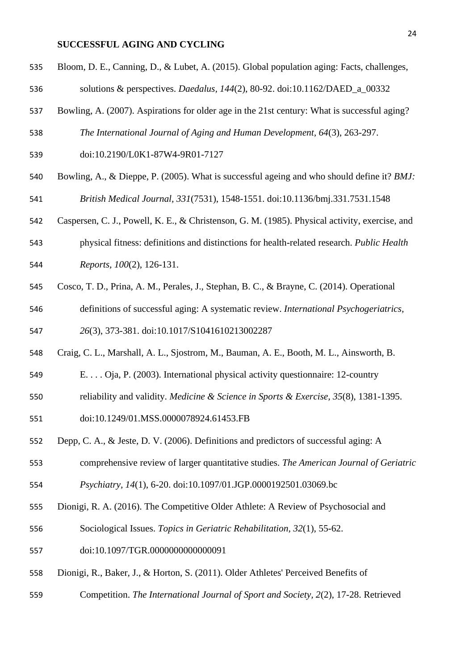- Bloom, D. E., Canning, D., & Lubet, A. (2015). Global population aging: Facts, challenges, solutions & perspectives. *Daedalus, 144*(2), 80-92. doi:10.1162/DAED\_a\_00332
- Bowling, A. (2007). Aspirations for older age in the 21st century: What is successful aging?
- *The International Journal of Aging and Human Development, 64*(3), 263-297.
- doi:10.2190/L0K1-87W4-9R01-7127
- Bowling, A., & Dieppe, P. (2005). What is successful ageing and who should define it? *BMJ:*
- *British Medical Journal, 331*(7531), 1548-1551. doi:10.1136/bmj.331.7531.1548
- Caspersen, C. J., Powell, K. E., & Christenson, G. M. (1985). Physical activity, exercise, and
- physical fitness: definitions and distinctions for health-related research. *Public Health Reports, 100*(2), 126-131.
- Cosco, T. D., Prina, A. M., Perales, J., Stephan, B. C., & Brayne, C. (2014). Operational
- definitions of successful aging: A systematic review. *International Psychogeriatrics,*

*26*(3), 373-381. doi:10.1017/S1041610213002287

- Craig, C. L., Marshall, A. L., Sjostrom, M., Bauman, A. E., Booth, M. L., Ainsworth, B.
- E. . . . Oja, P. (2003). International physical activity questionnaire: 12-country
- reliability and validity. *Medicine & Science in Sports & Exercise, 35*(8), 1381-1395.
- doi:10.1249/01.MSS.0000078924.61453.FB
- Depp, C. A., & Jeste, D. V. (2006). Definitions and predictors of successful aging: A
- comprehensive review of larger quantitative studies. *The American Journal of Geriatric*

*Psychiatry, 14*(1), 6-20. doi:10.1097/01.JGP.0000192501.03069.bc

- Dionigi, R. A. (2016). The Competitive Older Athlete: A Review of Psychosocial and
- Sociological Issues. *Topics in Geriatric Rehabilitation, 32*(1), 55-62.
- doi:10.1097/TGR.0000000000000091
- Dionigi, R., Baker, J., & Horton, S. (2011). Older Athletes' Perceived Benefits of
- Competition. *The International Journal of Sport and Society, 2*(2), 17-28. Retrieved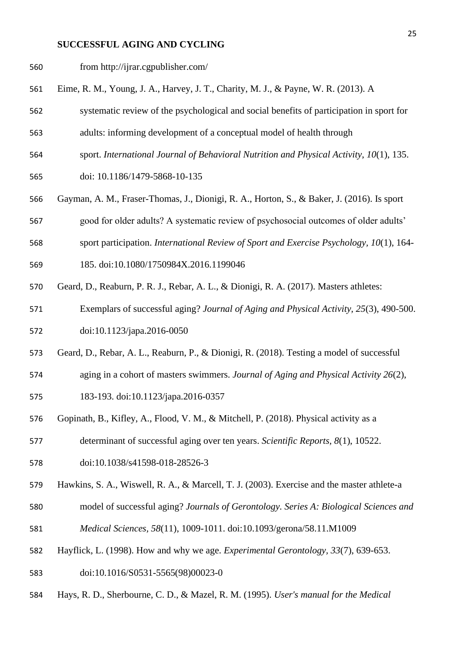- from http://ijrar.cgpublisher.com/
- Eime, R. M., Young, J. A., Harvey, J. T., Charity, M. J., & Payne, W. R. (2013). A
- systematic review of the psychological and social benefits of participation in sport for
- adults: informing development of a conceptual model of health through
- sport. *International Journal of Behavioral Nutrition and Physical Activity*, *10*(1), 135.
- doi: 10.1186/1479-5868-10-135
- Gayman, A. M., Fraser-Thomas, J., Dionigi, R. A., Horton, S., & Baker, J. (2016). Is sport
- good for older adults? A systematic review of psychosocial outcomes of older adults'
- sport participation. *International Review of Sport and Exercise Psychology, 10*(1), 164-
- 185. doi:10.1080/1750984X.2016.1199046
- Geard, D., Reaburn, P. R. J., Rebar, A. L., & Dionigi, R. A. (2017). Masters athletes:
- Exemplars of successful aging? *Journal of Aging and Physical Activity, 25*(3), 490-500. doi:10.1123/japa.2016-0050
- Geard, D., Rebar, A. L., Reaburn, P., & Dionigi, R. (2018). Testing a model of successful
- aging in a cohort of masters swimmers. *Journal of Aging and Physical Activity 26*(2),
- 183-193. doi:10.1123/japa.2016-0357
- Gopinath, B., Kifley, A., Flood, V. M., & Mitchell, P. (2018). Physical activity as a
- determinant of successful aging over ten years. *Scientific Reports, 8*(1), 10522.
- doi:10.1038/s41598-018-28526-3
- Hawkins, S. A., Wiswell, R. A., & Marcell, T. J. (2003). Exercise and the master athlete-a
- model of successful aging? *Journals of Gerontology. Series A: Biological Sciences and*
- *Medical Sciences, 58*(11), 1009-1011. doi:10.1093/gerona/58.11.M1009
- Hayflick, L. (1998). How and why we age. *Experimental Gerontology, 33*(7), 639-653.
- doi:10.1016/S0531-5565(98)00023-0
- Hays, R. D., Sherbourne, C. D., & Mazel, R. M. (1995). *User's manual for the Medical*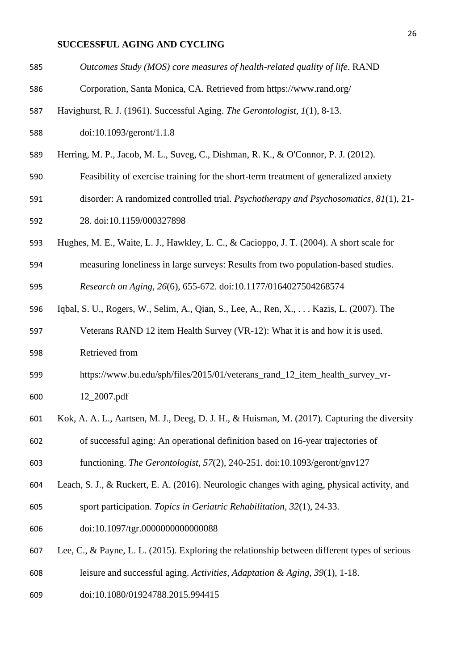- *Outcomes Study (MOS) core measures of health-related quality of life*. RAND
- Corporation, Santa Monica, CA. Retrieved from https://www.rand.org/
- Havighurst, R. J. (1961). Successful Aging. *The Gerontologist, 1*(1), 8-13.
- doi:10.1093/geront/1.1.8
- Herring, M. P., Jacob, M. L., Suveg, C., Dishman, R. K., & O'Connor, P. J. (2012).
- Feasibility of exercise training for the short-term treatment of generalized anxiety
- disorder: A randomized controlled trial. *Psychotherapy and Psychosomatics, 81*(1), 21-
- 28. doi:10.1159/000327898
- Hughes, M. E., Waite, L. J., Hawkley, L. C., & Cacioppo, J. T. (2004). A short scale for
- measuring loneliness in large surveys: Results from two population-based studies.

*Research on Aging, 26*(6), 655-672. doi:10.1177/0164027504268574

- Iqbal, S. U., Rogers, W., Selim, A., Qian, S., Lee, A., Ren, X., . . . Kazis, L. (2007). The
- Veterans RAND 12 item Health Survey (VR-12): What it is and how it is used.
- Retrieved from
- 599 https://www.bu.edu/sph/files/2015/01/veterans\_rand\_12\_item\_health\_survey\_vr-12\_2007.pdf
- Kok, A. A. L., Aartsen, M. J., Deeg, D. J. H., & Huisman, M. (2017). Capturing the diversity of successful aging: An operational definition based on 16-year trajectories of
- 

functioning. *The Gerontologist, 57*(2), 240-251. doi:10.1093/geront/gnv127

- Leach, S. J., & Ruckert, E. A. (2016). Neurologic changes with aging, physical activity, and
- sport participation. *Topics in Geriatric Rehabilitation, 32*(1), 24-33.
- doi:10.1097/tgr.0000000000000088
- Lee, C., & Payne, L. L. (2015). Exploring the relationship between different types of serious
- leisure and successful aging. *Activities, Adaptation & Aging, 39*(1), 1-18.
- doi:10.1080/01924788.2015.994415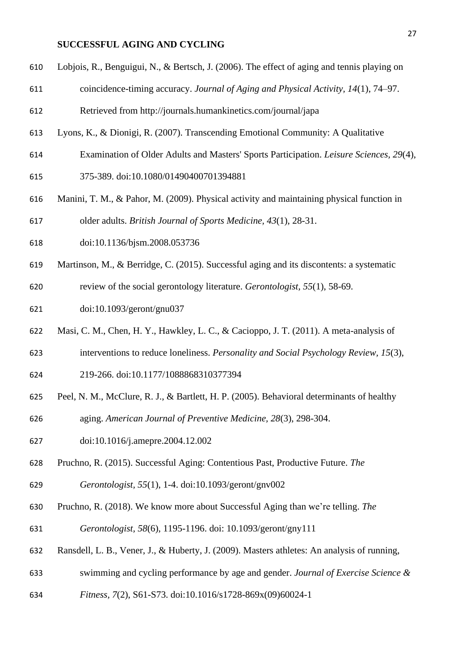- Lobjois, R., Benguigui, N., & Bertsch, J. (2006). The effect of aging and tennis playing on
- coincidence-timing accuracy. *Journal of Aging and Physical Activity, 14*(1), 74–97.
- Retrieved from http://journals.humankinetics.com/journal/japa
- Lyons, K., & Dionigi, R. (2007). Transcending Emotional Community: A Qualitative
- Examination of Older Adults and Masters' Sports Participation. *Leisure Sciences, 29*(4),
- 375-389. doi:10.1080/01490400701394881
- Manini, T. M., & Pahor, M. (2009). Physical activity and maintaining physical function in
- older adults. *British Journal of Sports Medicine, 43*(1), 28-31.
- doi:10.1136/bjsm.2008.053736
- Martinson, M., & Berridge, C. (2015). Successful aging and its discontents: a systematic
- review of the social gerontology literature. *Gerontologist, 55*(1), 58-69.
- doi:10.1093/geront/gnu037
- Masi, C. M., Chen, H. Y., Hawkley, L. C., & Cacioppo, J. T. (2011). A meta-analysis of
- interventions to reduce loneliness. *Personality and Social Psychology Review, 15*(3),
- 219-266. doi:10.1177/1088868310377394
- Peel, N. M., McClure, R. J., & Bartlett, H. P. (2005). Behavioral determinants of healthy
- aging. *American Journal of Preventive Medicine, 28*(3), 298-304.
- doi:10.1016/j.amepre.2004.12.002
- Pruchno, R. (2015). Successful Aging: Contentious Past, Productive Future. *The*
- *Gerontologist, 55*(1), 1-4. doi:10.1093/geront/gnv002
- Pruchno, R. (2018). We know more about Successful Aging than we're telling. *The*
- *Gerontologist, 58*(6), 1195-1196. doi: 10.1093/geront/gny111
- Ransdell, L. B., Vener, J., & Huberty, J. (2009). Masters athletes: An analysis of running,
- swimming and cycling performance by age and gender. *Journal of Exercise Science &*
- *Fitness, 7*(2), S61-S73. doi:10.1016/s1728-869x(09)60024-1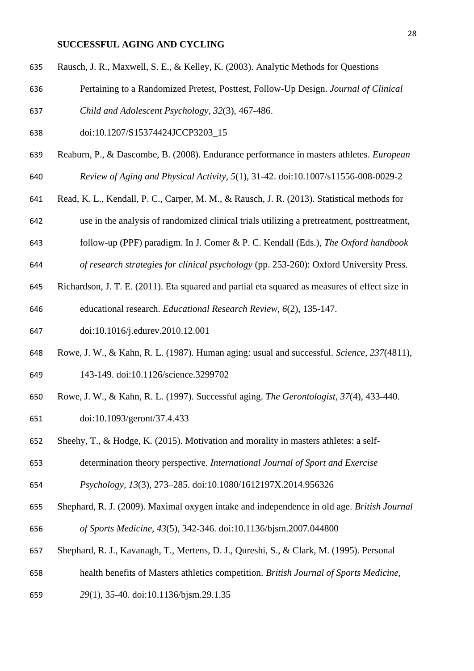- Rausch, J. R., Maxwell, S. E., & Kelley, K. (2003). Analytic Methods for Questions
- Pertaining to a Randomized Pretest, Posttest, Follow-Up Design. *Journal of Clinical*
- *Child and Adolescent Psychology, 32*(3), 467-486.
- doi:10.1207/S15374424JCCP3203\_15
- Reaburn, P., & Dascombe, B. (2008). Endurance performance in masters athletes. *European Review of Aging and Physical Activity, 5*(1), 31-42. doi:10.1007/s11556-008-0029-2
- Read, K. L., Kendall, P. C., Carper, M. M., & Rausch, J. R. (2013). Statistical methods for
- use in the analysis of randomized clinical trials utilizing a pretreatment, posttreatment,
- follow-up (PPF) paradigm. In J. Comer & P. C. Kendall (Eds.), *The Oxford handbook*
- *of research strategies for clinical psychology* (pp. 253-260): Oxford University Press.
- Richardson, J. T. E. (2011). Eta squared and partial eta squared as measures of effect size in

educational research. *Educational Research Review, 6*(2), 135-147.

- doi:10.1016/j.edurev.2010.12.001
- Rowe, J. W., & Kahn, R. L. (1987). Human aging: usual and successful. *Science, 237*(4811), 143-149. doi:10.1126/science.3299702
- Rowe, J. W., & Kahn, R. L. (1997). Successful aging. *The Gerontologist, 37*(4), 433-440.
- doi:10.1093/geront/37.4.433
- Sheehy, T., & Hodge, K. (2015). Motivation and morality in masters athletes: a self-
- determination theory perspective. *International Journal of Sport and Exercise*
- *Psychology, 13*(3), 273–285. doi:10.1080/1612197X.2014.956326
- Shephard, R. J. (2009). Maximal oxygen intake and independence in old age. *British Journal*
- *of Sports Medicine, 43*(5), 342-346. doi:10.1136/bjsm.2007.044800
- Shephard, R. J., Kavanagh, T., Mertens, D. J., Qureshi, S., & Clark, M. (1995). Personal
- health benefits of Masters athletics competition. *British Journal of Sports Medicine,*
- *29*(1), 35-40. doi:10.1136/bjsm.29.1.35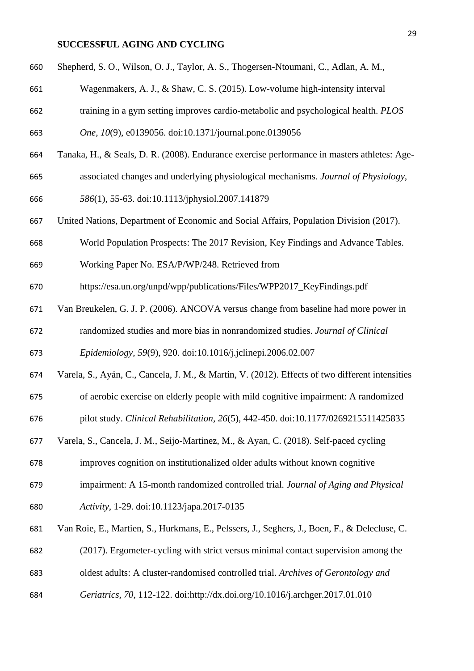- Shepherd, S. O., Wilson, O. J., Taylor, A. S., Thogersen-Ntoumani, C., Adlan, A. M.,
- Wagenmakers, A. J., & Shaw, C. S. (2015). Low-volume high-intensity interval
- training in a gym setting improves cardio-metabolic and psychological health. *PLOS*

*One, 10*(9), e0139056. doi:10.1371/journal.pone.0139056

- Tanaka, H., & Seals, D. R. (2008). Endurance exercise performance in masters athletes: Age-
- associated changes and underlying physiological mechanisms. *Journal of Physiology,*

*586*(1), 55-63. doi:10.1113/jphysiol.2007.141879

- United Nations, Department of Economic and Social Affairs, Population Division (2017).
- World Population Prospects: The 2017 Revision, Key Findings and Advance Tables.
- Working Paper No. ESA/P/WP/248. Retrieved from
- https://esa.un.org/unpd/wpp/publications/Files/WPP2017\_KeyFindings.pdf
- Van Breukelen, G. J. P. (2006). ANCOVA versus change from baseline had more power in
- randomized studies and more bias in nonrandomized studies. *Journal of Clinical*

*Epidemiology, 59*(9), 920. doi:10.1016/j.jclinepi.2006.02.007

Varela, S., Ayán, C., Cancela, J. M., & Martín, V. (2012). Effects of two different intensities

of aerobic exercise on elderly people with mild cognitive impairment: A randomized

- pilot study. *Clinical Rehabilitation, 26*(5), 442-450. doi:10.1177/0269215511425835
- Varela, S., Cancela, J. M., Seijo-Martinez, M., & Ayan, C. (2018). Self-paced cycling
- improves cognition on institutionalized older adults without known cognitive
- impairment: A 15-month randomized controlled trial. *Journal of Aging and Physical*

*Activity*, 1-29. doi:10.1123/japa.2017-0135

- Van Roie, E., Martien, S., Hurkmans, E., Pelssers, J., Seghers, J., Boen, F., & Delecluse, C.
- (2017). Ergometer-cycling with strict versus minimal contact supervision among the
- oldest adults: A cluster-randomised controlled trial. *Archives of Gerontology and*
- *Geriatrics, 70*, 112-122. doi:http://dx.doi.org/10.1016/j.archger.2017.01.010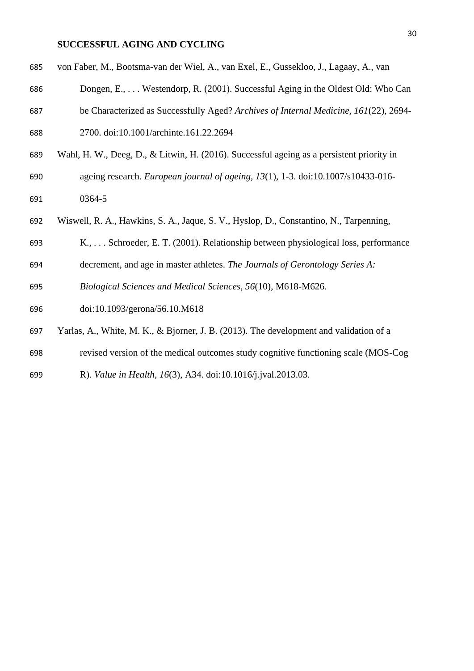- von Faber, M., Bootsma-van der Wiel, A., van Exel, E., Gussekloo, J., Lagaay, A., van
- Dongen, E., . . . Westendorp, R. (2001). Successful Aging in the Oldest Old: Who Can
- be Characterized as Successfully Aged? *Archives of Internal Medicine, 161*(22), 2694-
- 2700. doi:10.1001/archinte.161.22.2694
- Wahl, H. W., Deeg, D., & Litwin, H. (2016). Successful ageing as a persistent priority in
- ageing research. *European journal of ageing, 13*(1), 1-3. doi:10.1007/s10433-016-
- 0364-5
- Wiswell, R. A., Hawkins, S. A., Jaque, S. V., Hyslop, D., Constantino, N., Tarpenning,
- K., . . . Schroeder, E. T. (2001). Relationship between physiological loss, performance
- decrement, and age in master athletes. *The Journals of Gerontology Series A:*
- *Biological Sciences and Medical Sciences, 56*(10), M618-M626.
- doi:10.1093/gerona/56.10.M618
- Yarlas, A., White, M. K., & Bjorner, J. B. (2013). The development and validation of a
- revised version of the medical outcomes study cognitive functioning scale (MOS-Cog
- R). *Value in Health, 16*(3), A34. doi:10.1016/j.jval.2013.03.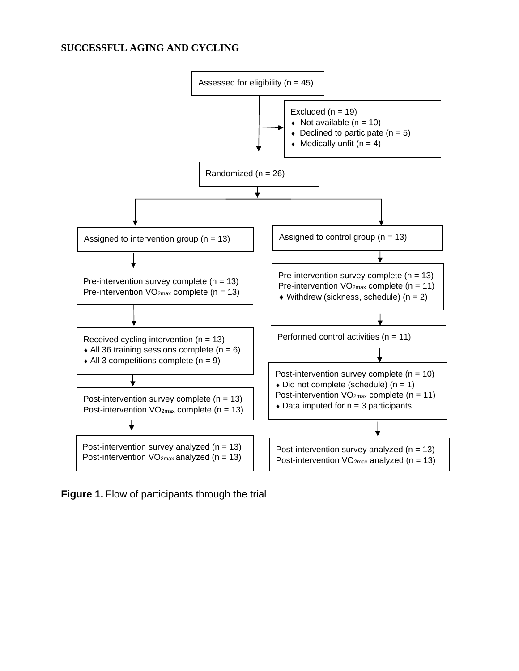

**Figure 1.** Flow of participants through the trial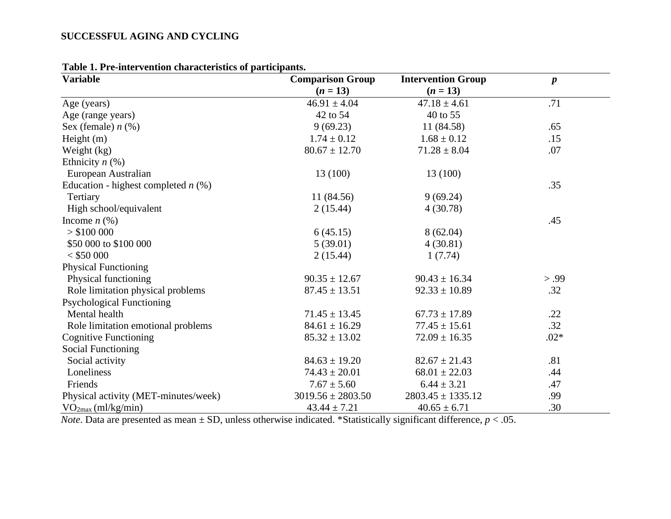| <b>Variable</b>                       | <b>Comparison Group</b> | <b>Intervention Group</b> | $\boldsymbol{p}$ |  |
|---------------------------------------|-------------------------|---------------------------|------------------|--|
|                                       | $(n = 13)$              | $(n = 13)$                |                  |  |
| Age (years)                           | $46.91 \pm 4.04$        | $47.18 \pm 4.61$          | .71              |  |
| Age (range years)                     | 42 to 54                | 40 to 55                  |                  |  |
| Sex (female) $n$ (%)                  | 9(69.23)                | 11 (84.58)                | .65              |  |
| Height $(m)$                          | $1.74 \pm 0.12$         | $1.68 \pm 0.12$           | .15              |  |
| Weight (kg)                           | $80.67 \pm 12.70$       | $71.28 \pm 8.04$          | .07              |  |
| Ethnicity $n$ (%)                     |                         |                           |                  |  |
| European Australian                   | 13(100)                 | 13(100)                   |                  |  |
| Education - highest completed $n$ (%) |                         |                           | .35              |  |
| Tertiary                              | 11 (84.56)              | 9(69.24)                  |                  |  |
| High school/equivalent                | 2(15.44)                | 4(30.78)                  |                  |  |
| Income $n$ $(\%)$                     |                         |                           | .45              |  |
| > \$100000                            | 6(45.15)                | 8(62.04)                  |                  |  |
| \$50 000 to \$100 000                 | 5(39.01)                | 4(30.81)                  |                  |  |
| $<$ \$50 000                          | 2(15.44)                | 1(7.74)                   |                  |  |
| <b>Physical Functioning</b>           |                         |                           |                  |  |
| Physical functioning                  | $90.35 \pm 12.67$       | $90.43 \pm 16.34$         | > .99            |  |
| Role limitation physical problems     | $87.45 \pm 13.51$       | $92.33 \pm 10.89$         | .32              |  |
| <b>Psychological Functioning</b>      |                         |                           |                  |  |
| Mental health                         | $71.45 \pm 13.45$       | $67.73 \pm 17.89$         | .22              |  |
| Role limitation emotional problems    | $84.61 \pm 16.29$       | $77.45 \pm 15.61$         | .32              |  |
| <b>Cognitive Functioning</b>          | $85.32 \pm 13.02$       | $72.09 \pm 16.35$         | $.02*$           |  |
| Social Functioning                    |                         |                           |                  |  |
| Social activity                       | $84.63 \pm 19.20$       | $82.67 \pm 21.43$         | .81              |  |
| Loneliness                            | $74.43 \pm 20.01$       | $68.01 \pm 22.03$         | .44              |  |
| Friends                               | $7.67 \pm 5.60$         | $6.44 \pm 3.21$           | .47              |  |
| Physical activity (MET-minutes/week)  | $3019.56 \pm 2803.50$   | $2803.45 \pm 1335.12$     | .99              |  |
| VO <sub>2max</sub> (ml/kg/min)        | $43.44 \pm 7.21$        | $40.65 \pm 6.71$          | .30              |  |

|  | Table 1. Pre-intervention characteristics of participants. |  |  |  |  |  |
|--|------------------------------------------------------------|--|--|--|--|--|
|--|------------------------------------------------------------|--|--|--|--|--|

*Note*. Data are presented as mean ± SD, unless otherwise indicated. \*Statistically significant difference, *p* < .05.